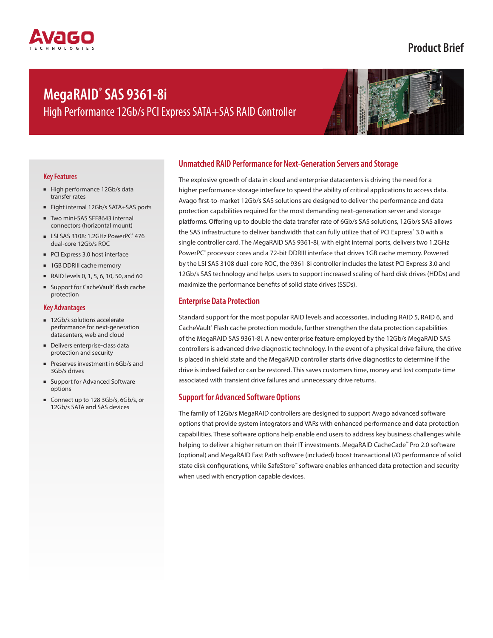## **Product Brief**

# **MegaRAID® SAS 9361-8i**

High Performance 12Gb/s PCI Express SATA+SAS RAID Controller



#### **Key Features**

- High performance 12Gb/s data transfer rates
- Eight internal 12Gb/s SATA+SAS ports
- Two mini-SAS SFF8643 internal connectors (horizontal mount)
- LSI SAS 3108: 1.2GHz PowerPC<sup>®</sup> 476 dual-core 12Gb/s ROC
- PCI Express 3.0 host interface
- 1GB DDRIII cache memory
- RAID levels 0, 1, 5, 6, 10, 50, and 60
- Support for CacheVault® flash cache protection

#### **Key Advantages**

- 12Gb/s solutions accelerate performance for next-generation datacenters, web and cloud
- Delivers enterprise-class data protection and security
- Preserves investment in 6Gb/s and 3Gb/s drives
- Support for Advanced Software options
- Connect up to 128 3Gb/s, 6Gb/s, or 12Gb/s SATA and SAS devices

### **Unmatched RAID Performance for Next-Generation Servers and Storage**

The explosive growth of data in cloud and enterprise datacenters is driving the need for a higher performance storage interface to speed the ability of critical applications to access data. Avago first-to-market 12Gb/s SAS solutions are designed to deliver the performance and data protection capabilities required for the most demanding next-generation server and storage platforms. Offering up to double the data transfer rate of 6Gb/s SAS solutions, 12Gb/s SAS allows the SAS infrastructure to deliver bandwidth that can fully utilize that of PCI Express° 3.0 with a single controller card. The MegaRAID SAS 9361-8i, with eight internal ports, delivers two 1.2GHz PowerPC<sup>®</sup> processor cores and a 72-bit DDRIII interface that drives 1GB cache memory. Powered by the LSI SAS 3108 dual-core ROC, the 9361-8i controller includes the latest PCI Express 3.0 and 12Gb/s SAS technology and helps users to support increased scaling of hard disk drives (HDDs) and maximize the performance benefits of solid state drives (SSDs).

#### **Enterprise Data Protection**

Standard support for the most popular RAID levels and accessories, including RAID 5, RAID 6, and CacheVault® Flash cache protection module, further strengthen the data protection capabilities of the MegaRAID SAS 9361-8i. A new enterprise feature employed by the 12Gb/s MegaRAID SAS controllers is advanced drive diagnostic technology. In the event of a physical drive failure, the drive is placed in shield state and the MegaRAID controller starts drive diagnostics to determine if the drive is indeed failed or can be restored. This saves customers time, money and lost compute time associated with transient drive failures and unnecessary drive returns.

#### **Support for Advanced Software Options**

The family of 12Gb/s MegaRAID controllers are designed to support Avago advanced software options that provide system integrators and VARs with enhanced performance and data protection capabilities. These software options help enable end users to address key business challenges while helping to deliver a higher return on their IT investments. MegaRAID CacheCade™ Pro 2.0 software (optional) and MegaRAID Fast Path software (included) boost transactional I/O performance of solid state disk configurations, while SafeStore™ software enables enhanced data protection and security when used with encryption capable devices.